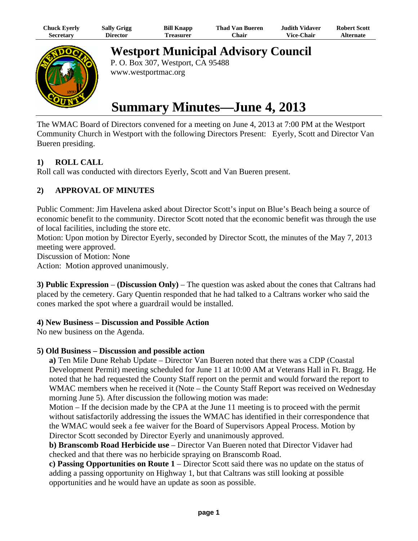| Chuck Eyerly     | <b>Sally Grigg</b> | <b>Bill Knapp</b> | Thad Van Bueren | Judith Vidaver    | <b>Robert Scott</b> |
|------------------|--------------------|-------------------|-----------------|-------------------|---------------------|
| <b>Secretary</b> | Director           | l`reasurer        | Chair           | <b>Vice-Chair</b> | Alternate           |



**Westport Municipal Advisory Council**

P. O. Box 307, Westport, CA 95488 www.westportmac.org

# **Summary Minutes—June 4, 2013**

The WMAC Board of Directors convened for a meeting on June 4, 2013 at 7:00 PM at the Westport Community Church in Westport with the following Directors Present: Eyerly, Scott and Director Van Bueren presiding.

# **1) ROLL CALL**

Roll call was conducted with directors Eyerly, Scott and Van Bueren present.

## **2) APPROVAL OF MINUTES**

Public Comment: Jim Havelena asked about Director Scott's input on Blue's Beach being a source of economic benefit to the community. Director Scott noted that the economic benefit was through the use of local facilities, including the store etc.

Motion: Upon motion by Director Eyerly, seconded by Director Scott, the minutes of the May 7, 2013 meeting were approved.

Discussion of Motion: None

Action: Motion approved unanimously.

**3) Public Expression** – **(Discussion Only)** – The question was asked about the cones that Caltrans had placed by the cemetery. Gary Quentin responded that he had talked to a Caltrans worker who said the cones marked the spot where a guardrail would be installed.

#### **4) New Business – Discussion and Possible Action**

No new business on the Agenda.

## **5) Old Business – Discussion and possible action**

**a)** Ten Mile Dune Rehab Update – Director Van Bueren noted that there was a CDP (Coastal Development Permit) meeting scheduled for June 11 at 10:00 AM at Veterans Hall in Ft. Bragg. He noted that he had requested the County Staff report on the permit and would forward the report to WMAC members when he received it (Note – the County Staff Report was received on Wednesday morning June 5). After discussion the following motion was made:

Motion – If the decision made by the CPA at the June 11 meeting is to proceed with the permit without satisfactorily addressing the issues the WMAC has identified in their correspondence that the WMAC would seek a fee waiver for the Board of Supervisors Appeal Process. Motion by Director Scott seconded by Director Eyerly and unanimously approved.

**b) Branscomb Road Herbicide use** – Director Van Bueren noted that Director Vidaver had checked and that there was no herbicide spraying on Branscomb Road.

**c) Passing Opportunities on Route 1** – Director Scott said there was no update on the status of adding a passing opportunity on Highway 1, but that Caltrans was still looking at possible opportunities and he would have an update as soon as possible.